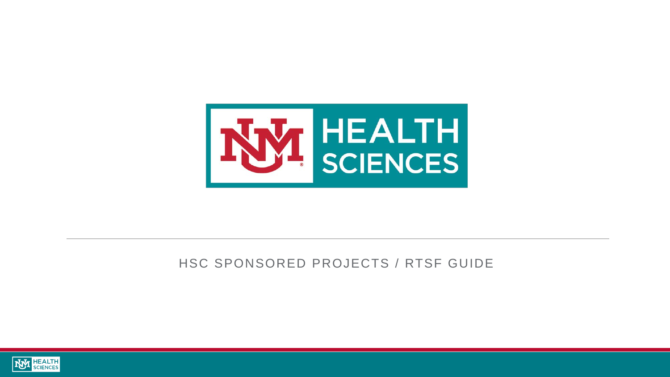

### HSC SPONSORED PROJECTS / RTSF GUIDE

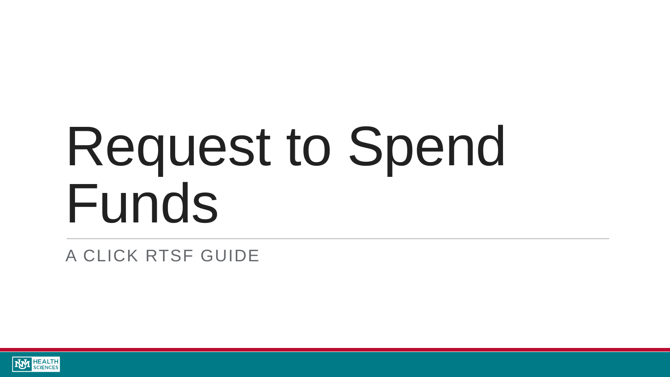# Request to Spend Funds

A CLICK RTSF GUIDE

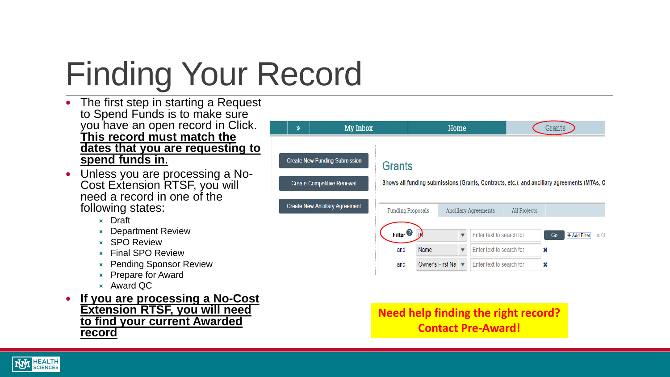# Finding Your Record

- The first step in starting a Request to Spend Funds is to make sure you have an open record in Click. **This record must match the dates that you are requesting to spend funds in**.
- Unless you are processing a No- Cost Extension RTSF, you will need a record in one of the following states:
	- **x** Draft
	- **EX** Department Review
	- **x** SPO Review
	- **K** Final SPO Review
	- **EX** Pending Sponsor Review
	- $\times$  Prepare for Award
	- Award QC
- **If you are processing a No-Cost Extension RTSF, you will need to find your current Awarded record**



**Need help finding the right record? Contact Pre-Award!**

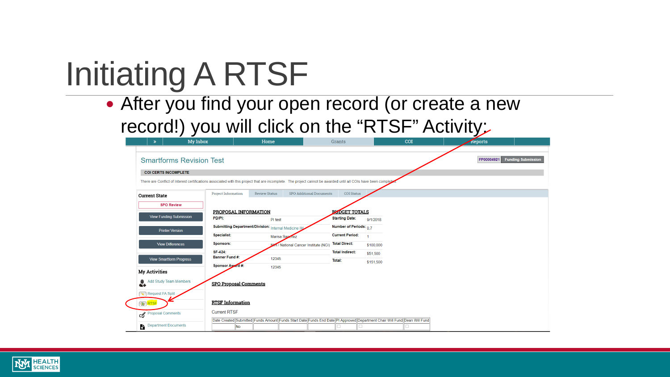# Initiating A RTSF

• After you find your open record (or create a new record!) you will click on the "RTSF" Activity:

| $\gg$                              | My Inbox                        |                                                                                                                           | Home                 |                                                                                                                                                                  | Grants                 |           | COI | <del>∽</del><br><b>Reports</b> |                           |
|------------------------------------|---------------------------------|---------------------------------------------------------------------------------------------------------------------------|----------------------|------------------------------------------------------------------------------------------------------------------------------------------------------------------|------------------------|-----------|-----|--------------------------------|---------------------------|
|                                    |                                 |                                                                                                                           |                      |                                                                                                                                                                  |                        |           |     |                                |                           |
|                                    | <b>Smartforms Revision Test</b> |                                                                                                                           |                      |                                                                                                                                                                  |                        |           |     | FP00004921                     | <b>Funding Submission</b> |
| <b>COI CERTS INCOMPLETE</b>        |                                 |                                                                                                                           |                      |                                                                                                                                                                  |                        |           |     |                                |                           |
|                                    |                                 |                                                                                                                           |                      | There are Conflict of Interest certifications associated with this project that are incomplete. The project cannot be awarded until all COIs have been completed |                        |           |     |                                |                           |
|                                    |                                 | <b>Project Information</b>                                                                                                | <b>Review Status</b> | <b>SPO Additional Documents</b>                                                                                                                                  | <b>COI Status</b>      |           |     |                                |                           |
| <b>Current State</b>               |                                 |                                                                                                                           |                      |                                                                                                                                                                  |                        |           |     |                                |                           |
|                                    | <b>SPO Review</b>               |                                                                                                                           |                      |                                                                                                                                                                  |                        |           |     |                                |                           |
|                                    |                                 | PROPOSAL INFORMATION                                                                                                      |                      |                                                                                                                                                                  | <b>BUDGET TOTALS</b>   |           |     |                                |                           |
|                                    | <b>View Funding Submission</b>  | PD/PI:                                                                                                                    | PI test              |                                                                                                                                                                  | <b>Starting Date:</b>  | 9/1/2018  |     |                                |                           |
|                                    | <b>Printer Version</b>          | Submitting Department/Division: Internal Medicine IM                                                                      |                      |                                                                                                                                                                  | Number of Periods: 07  |           |     |                                |                           |
|                                    |                                 | Specialist:                                                                                                               | Marisa Saperiez      |                                                                                                                                                                  | <b>Current Period:</b> | 1         |     |                                |                           |
|                                    | <b>View Differences</b>         | Sponsors:                                                                                                                 |                      | 17 National Cancer Institute (NCI)                                                                                                                               | <b>Total Direct:</b>   | \$100,000 |     |                                |                           |
|                                    |                                 | <b>SF-424:</b>                                                                                                            |                      |                                                                                                                                                                  | <b>Total Indirect:</b> | \$51,500  |     |                                |                           |
|                                    | <b>View Smartform Progress</b>  | <b>Banner Fund #:</b>                                                                                                     | 12345                |                                                                                                                                                                  | Total:                 | \$151,500 |     |                                |                           |
|                                    |                                 | Sponsor Award #:                                                                                                          | 12345                |                                                                                                                                                                  |                        |           |     |                                |                           |
| My Activities                      |                                 |                                                                                                                           |                      |                                                                                                                                                                  |                        |           |     |                                |                           |
| <b>Add Study Team Members</b><br>4 |                                 | <b>SPO Proposal Comments</b>                                                                                              |                      |                                                                                                                                                                  |                        |           |     |                                |                           |
| Request FA Split                   |                                 |                                                                                                                           |                      |                                                                                                                                                                  |                        |           |     |                                |                           |
| <b>GO</b> RTSF                     |                                 | <b>RTSF Information</b>                                                                                                   |                      |                                                                                                                                                                  |                        |           |     |                                |                           |
| Proposal Comments                  |                                 | <b>Current RTSF</b>                                                                                                       |                      |                                                                                                                                                                  |                        |           |     |                                |                           |
|                                    |                                 | Date Created Submitted Funds Amount Funds Start Date Funds End Date PI Approved Department Chair Will Fund Dean Will Fund |                      |                                                                                                                                                                  |                        |           |     |                                |                           |
| <b>Department Documents</b><br>6.  |                                 | No                                                                                                                        |                      |                                                                                                                                                                  |                        |           |     |                                |                           |

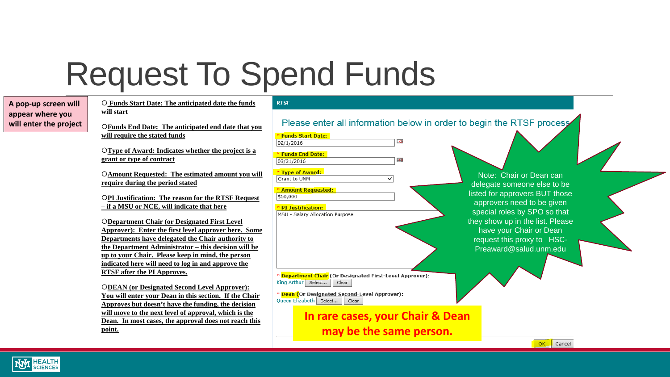### Request To Spend Funds

| A pop-up screen will   |
|------------------------|
| appear where you       |
| will enter the project |

 **Funds Start Date: The anticipated date the funds will start**

**Funds End Date: The anticipated end date that you will require the stated funds**

**Type of Award: Indicates whether the project is a grant or type of contract**

**Amount Requested: The estimated amount you will require during the period stated**

**PI Justification: The reason for the RTSF Request – if a MSU or NCE, will indicate that here**

**Department Chair (or Designated First Level Approver): Enter the first level approver here. Some Departments have delegated the Chair authority to the Department Administrator – this decision will be up to your Chair. Please keep in mind, the person indicated here will need to log in and approve the RTSF after the PI Approves.**

**DEAN (or Designated Second Level Approver): You will enter your Dean in this section. If the Chair Approves but doesn't have the funding, the decision will move to the next level of approval, which is the Dean. In most cases, the approval does not reach this point.**

#### **RTSF**

Please enter all information below in order to begin the RTSF process

**The** 

\* Funds Start Date:  $02/1/2016$ \* Funds End Date: 03/31/2016 \* Type of Award: Grant to UNM  $\checkmark$ \* Amount Requested:

\$60,000

#### \* PI Justification:

MSU - Salary Allocation Purpose

\* <mark>Department Chair</mark> (Or Designated First-Level Approver): King Arthur Select... Clear

\* Dean (Or Designated Second-Level Approver): Queen Elizabeth Select... Clear

> **In rare cases, your Chair & Dean may be the same person.**

Note: Chair or Dean can delegate someone else to be listed for approvers BUT those approvers need to be given special roles by SPO so that they show up in the list. Please have your Chair or Dean request this proxy to HSC-Preaward@salud.unm.edu

 $OK$ 

Cancel

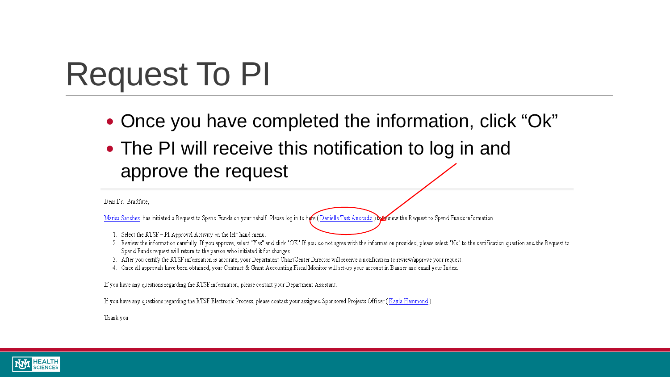### Request To PI

- Once you have completed the information, click "Ok"
- The PI will receive this notification to log in and approve the request

#### Dear Dr. Bradfute.

Marisa Sanchez has initiated a Request to Spend Funds on your behalf. Please log in to here (Danielle Test Avocado) here view the Request to Spend Funds information

- 1. Select the RTSF PI Approval Activity on the left hand menu.
- 2. Review the information carefully. If you approve, select "Yes" and click "OK" If you do not agree with the information provided, please select "No" to the certification question and the Request to Spend Funds request will return to the person who initiated it for changes.
- 3. After you certify the RTSF information is accurate, your Department Chair/Center Director will receive a notification to review/approve your request.
- 4. Once all approvals have been obtained, your Contract & Grant Accounting Fiscal Monitor will set-up your account in Banner and email your Index.

If you have any questions regarding the RTSF information, please contact your Department Assistant.

If you have any questions regarding the RTSF Electronic Process, please contact your assigned Sponsored Projects Officer (Kayla Hammond)

Thank you

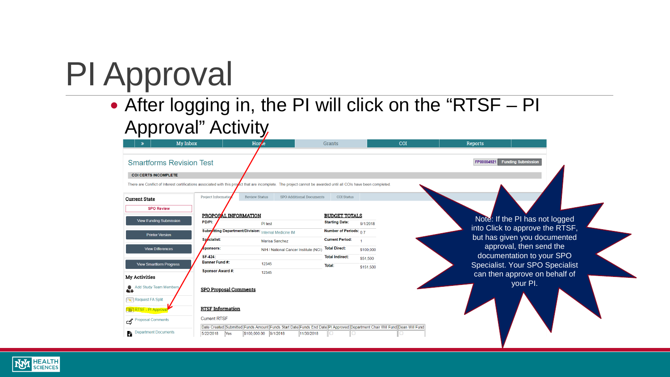## PI Approval

### After logging in, the PI will click on the "RTSF – PI Approval" Activity

|                                           | My Inbox                                                                        |                              | Horze                                 | <b>Grants</b>                                                                                                                                                    | COI                                                                                                                       | <b>Reports</b>                                                  |                                                              |  |  |
|-------------------------------------------|---------------------------------------------------------------------------------|------------------------------|---------------------------------------|------------------------------------------------------------------------------------------------------------------------------------------------------------------|---------------------------------------------------------------------------------------------------------------------------|-----------------------------------------------------------------|--------------------------------------------------------------|--|--|
|                                           | <b>Smartforms Revision Test</b>                                                 |                              |                                       |                                                                                                                                                                  |                                                                                                                           | FP00004921 Funding Submission                                   |                                                              |  |  |
|                                           | <b>COI CERTS INCOMPLETE</b>                                                     |                              |                                       |                                                                                                                                                                  |                                                                                                                           |                                                                 |                                                              |  |  |
|                                           |                                                                                 |                              |                                       | There are Conflict of Interest certifications associated with this project that are incomplete. The project cannot be awarded until all COIs have been completed |                                                                                                                           |                                                                 |                                                              |  |  |
| <b>Current State</b>                      |                                                                                 | Project Information          | <b>Review Status</b>                  | SPO Additional Documents<br><b>COI Status</b>                                                                                                                    |                                                                                                                           |                                                                 |                                                              |  |  |
| <b>SPO Review</b><br>PROPOSAL INFORMATION |                                                                                 |                              |                                       |                                                                                                                                                                  | <b>BUDGET TOTALS</b>                                                                                                      | Note: If the PI has not logged                                  |                                                              |  |  |
|                                           | <b>View Funding Submission</b>                                                  | PD/PI:                       | PI test                               | <b>Starting Date:</b>                                                                                                                                            | 9/1/2018                                                                                                                  |                                                                 |                                                              |  |  |
|                                           | Subryitting Department/Division: Internal Medicine IM<br><b>Printer Version</b> |                              |                                       | Number of Periods: $0.7$                                                                                                                                         |                                                                                                                           | into Click to approve the RTSF,<br>but has given you documented |                                                              |  |  |
|                                           |                                                                                 | Specialist:                  | <b>Marisa Sanchez</b>                 | <b>Current Period:</b>                                                                                                                                           |                                                                                                                           |                                                                 | approval, then send the                                      |  |  |
|                                           | <b>View Differences</b>                                                         | Sponsors:                    | NIH / National Cancer Institute (NCI) | <b>Total Direct:</b>                                                                                                                                             | \$100,000                                                                                                                 |                                                                 |                                                              |  |  |
|                                           | <b>View Smartform Progress</b>                                                  | SF-424:<br>Banner Fund #:    | 12345                                 | <b>Total Indirect:</b><br>Total:                                                                                                                                 | \$51,500                                                                                                                  |                                                                 | documentation to your SPO<br>Specialist. Your SPO Specialist |  |  |
| <b>My Activities</b>                      |                                                                                 | <b>Sponsor Award #:</b>      | 12345                                 |                                                                                                                                                                  | \$151,500                                                                                                                 |                                                                 | can then approve on behalf of<br>your PI.                    |  |  |
|                                           | Add Study Team Members                                                          | <b>SPO Proposal Comments</b> |                                       |                                                                                                                                                                  |                                                                                                                           |                                                                 |                                                              |  |  |
| Request FA Split                          |                                                                                 |                              |                                       |                                                                                                                                                                  |                                                                                                                           |                                                                 |                                                              |  |  |
| <b>RTSF</b> - PI Approval                 |                                                                                 | <b>RTSF Information</b>      |                                       |                                                                                                                                                                  |                                                                                                                           |                                                                 |                                                              |  |  |
| Proposal Comments                         |                                                                                 | <b>Current RTSF</b>          |                                       |                                                                                                                                                                  |                                                                                                                           |                                                                 |                                                              |  |  |
| A.                                        | <b>Department Documents</b>                                                     | 5/22/2018<br>Yes             | \$100,000.00 9/1/2018                 | 11/30/2018<br>0                                                                                                                                                  | Date Created Submitted Funds Amount Funds Start Date Funds End Date PI Approved Department Chair Will Fund Dean Will Fund |                                                                 |                                                              |  |  |

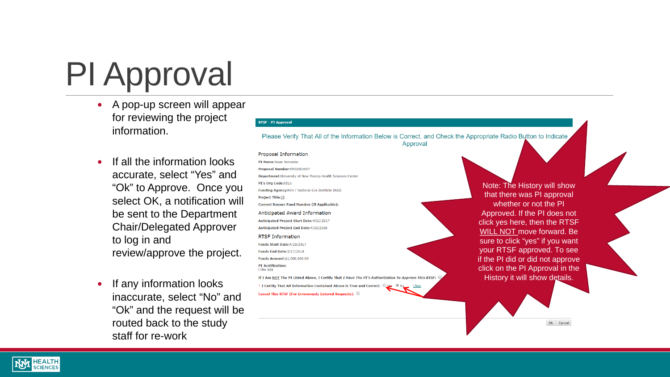## PI Approval

- A pop-up screen will appear for reviewing the project information.
- If all the information looks accurate, select "Yes" and "Ok" to Approve. Once you select OK, a notification will be sent to the Department Chair/Delegated Approver to log in and review/approve the project.
- If any information looks inaccurate, select "No" and "Ok" and the request will be routed back to the study staff for re -work

#### **RTSF - PI Approval**

Please Verify That All of the Information Below is Correct, and Check the Appropriate Radio Button to Indicate Approval

#### Proposal Information

PI Name:Sean Gonzales

Proposal Number:FP00002607 Department: University of New Mexico Health Sciences Center PI's Org Code:851x Funding Agency: NIH / National Eye Institute (NEI) **Project Title:iii Current Banner Fund Number (If Applicable):** Anticipated Award Information Anticipated Project Start Date:4/21/2017 **Anticipated Project End Date:4/20/2018 RTSF Information** Funds Start Date: 4/28/2017 **Funds End Date: 5/27/2018** Funds Amount:\$1,000,000.00 **PI Justification:**  $I$  like  $$$ \$\$

If I Am NOT The PI Listed Above, I Certify That I Have The PI's Authorization To Approve This RTSF: \* I Certify That All Information Contained Above is True and Correct:

Cancel This RTSF (For Erroneously Entered Requests):

Note: The History will show that there was PI approval whether or not the PI Approved. If the PI does not click yes here, then the RTSF WILL NOT move forward. Be sure to click "yes" if you want your RTSF approved. To see if the PI did or did not approve click on the PI Approval in the History it will show details.

OK Cancel

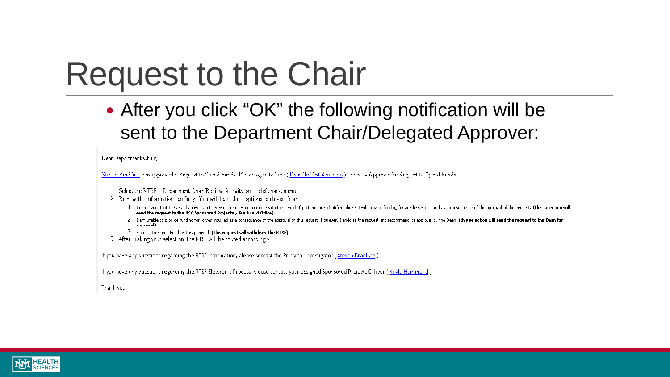### **Request to the Chair**

• After you click "OK" the following notification will be sent to the Department Chair/Delegated Approver:

#### Dear Department Chair,

Steven Bradfute has approved a Request to Spend Funds. Please log in to here (Danielle Test Avocado) to review/approve the Request to Spend Funds.

- 1. Select the RTSF Department Chair Review Activity on the left hand menu.
- 2. Review the information carefully. You will have three options to choose from:
	- 1. In the event that the award above is not received, or does not coincide with the period of performance identified above, I will provide funding for any losses incurred as a consequence of the approval of this request. ( send the request to the HSC Sponsored Projects / PreAward Office)
	- 2. I am unable to provide funding for losses incurred as a consequence of the approval of this request. However, I endorse the request and recommend its approval by the Dean. (this selection will send the request to the De approval)
	- 3. Request to Spend Funds is Disapproved. (This request will withdraw the RTSF)
- 3. After making your selection, the RTSF will be routed accordingly.

If you have any questions regarding the RTSF information, please contact the Principal Investigator (Steven Bradfute)

If you have any questions regarding the RTSF Electronic Process, please contact your assigned Sponsored Projects Officer (Kayla Hammond)

Thank you

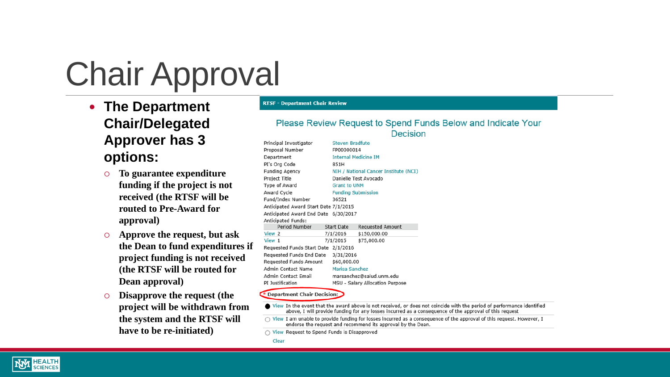## Chair Approval

- **The Department Chair/Delegated Approver has 3 options:**
	- **To guarantee expenditure funding if the project is not received (the RTSF will be routed to Pre-Award for approval)**
	- **Approve the request, but ask the Dean to fund expenditures if project funding is not received (the RTSF will be routed for Dean approval)**
	- **Disapprove the request (the project will be withdrawn from the system and the RTSF will have to be re-initiated)**

#### **RTSF - Department Chair Review**

#### Please Review Request to Spend Funds Below and Indicate Your Decision

|                     | Principal Investigator                |                           | <b>Steven Bradfute</b>                |                                                                                                                        |  |  |  |  |
|---------------------|---------------------------------------|---------------------------|---------------------------------------|------------------------------------------------------------------------------------------------------------------------|--|--|--|--|
|                     | Proposal Number                       | FP00000014                |                                       |                                                                                                                        |  |  |  |  |
|                     | Department                            |                           | <b>Internal Medicine IM</b>           |                                                                                                                        |  |  |  |  |
|                     | PI's Org Code                         | 851H                      |                                       |                                                                                                                        |  |  |  |  |
|                     | <b>Funding Agency</b>                 |                           | NIH / National Cancer Institute (NCI) |                                                                                                                        |  |  |  |  |
|                     | Project Title                         |                           | Danielle Test Avocado                 |                                                                                                                        |  |  |  |  |
|                     | Type of Award                         | <b>Grant to UNM</b>       |                                       |                                                                                                                        |  |  |  |  |
|                     | Award Cycle                           | <b>Funding Submission</b> |                                       |                                                                                                                        |  |  |  |  |
|                     | Fund/Index Number                     | 36521                     |                                       |                                                                                                                        |  |  |  |  |
|                     | Anticipated Award Start Date 7/1/2015 |                           |                                       |                                                                                                                        |  |  |  |  |
|                     | Anticipated Award End Date 6/30/2017  |                           |                                       |                                                                                                                        |  |  |  |  |
|                     | Anticipated Funds:                    |                           |                                       |                                                                                                                        |  |  |  |  |
|                     | Period Number                         | <b>Start Date</b>         | <b>Requested Amount</b>               |                                                                                                                        |  |  |  |  |
|                     | View 2                                | 7/1/2016                  | \$150,000.00                          |                                                                                                                        |  |  |  |  |
|                     | View 1                                | 7/1/2015                  | \$75,000.00                           |                                                                                                                        |  |  |  |  |
|                     | Requested Funds Start Date 2/1/2016   |                           |                                       |                                                                                                                        |  |  |  |  |
|                     | Requested Funds End Date              | 3/31/2016                 |                                       |                                                                                                                        |  |  |  |  |
|                     | <b>Requested Funds Amount</b>         | \$60,000.00               |                                       |                                                                                                                        |  |  |  |  |
| Admin Contact Name  |                                       | Marisa Sanchez            |                                       |                                                                                                                        |  |  |  |  |
| Admin Contact Email |                                       |                           | marsanchez@salud.unm.edu              |                                                                                                                        |  |  |  |  |
|                     | PI Justification                      |                           | MSU - Salary Allocation Purpose       |                                                                                                                        |  |  |  |  |
|                     | Department Chair Decision:            |                           |                                       |                                                                                                                        |  |  |  |  |
|                     |                                       |                           |                                       |                                                                                                                        |  |  |  |  |
|                     |                                       |                           |                                       | View In the event that the award above is not received, or does not coincide with the period of performance identified |  |  |  |  |
|                     |                                       |                           |                                       | above, I will provide funding for any losses incurred as a consequence of the approval of this reguest                 |  |  |  |  |

 $\bigcirc$  View I am unable to provide funding for losses incurred as a consequence of the approval of this request. However, I endorse the request and recommend its approval by the Dean.

 $\bigcirc$  View Request to Spend Funds is Disapproved

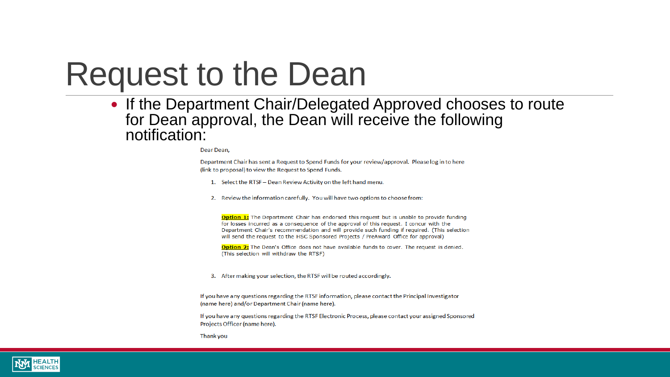### **Request to the Dean**

• If the Department Chair/Delegated Approved chooses to route<br>for Dean approval, the Dean will receive the following notification:

Dear Dean.

Department Chair has sent a Request to Spend Funds for your review/approval. Please log in to here (link to proposal) to view the Request to Spend Funds.

- 1. Select the RTSF Dean Review Activity on the left hand menu.
- 2. Review the information carefully. You will have two options to choose from:

**Option 1:** The Department Chair has endorsed this request but is unable to provide funding for losses incurred as a consequence of the approval of this request. I concur with the Department Chair's recommendation and will provide such funding if required. (This selection will send the request to the HSC Sponsored Projects / PreAward Office for approval)

**Option 2:** The Dean's Office does not have available funds to cover. The request is denied. (This selection will withdraw the RTSF)

3. After making your selection, the RTSF will be routed accordingly.

If you have any questions regarding the RTSF information, please contact the Principal Investigator (name here) and/or Department Chair (name here).

If you have any questions regarding the RTSF Electronic Process, please contact your assigned Sponsored Projects Officer (name here).

Thank you

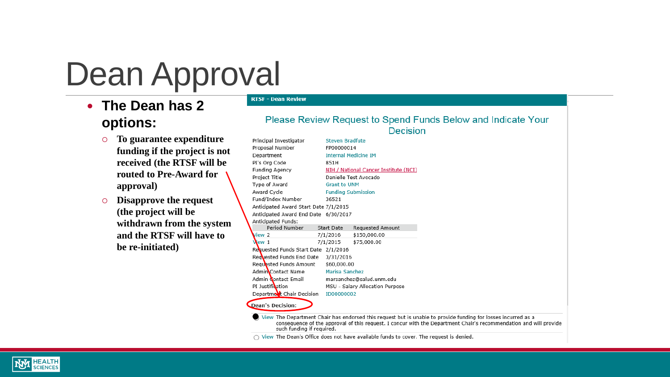### Dean Approval

**RTSF - Dean Review** 

- **The Dean has 2 options:**
	- **To guarantee expenditure funding if the project is not received (the RTSF will be routed to Pre-Award for approval)**
	- **Disapprove the request (the project will be withdrawn from the system and the RTSF will have to be re-initiated)**

|                           |                                           | Please Review Request to Spend Funds Below and Indicate Your<br>Decision                                                                                                                                                           |  |  |  |  |  |
|---------------------------|-------------------------------------------|------------------------------------------------------------------------------------------------------------------------------------------------------------------------------------------------------------------------------------|--|--|--|--|--|
|                           |                                           |                                                                                                                                                                                                                                    |  |  |  |  |  |
|                           | Principal Investigator<br>Proposal Number | Steven Bradfute                                                                                                                                                                                                                    |  |  |  |  |  |
|                           |                                           | FP00000014                                                                                                                                                                                                                         |  |  |  |  |  |
|                           | Department                                | <b>Internal Medicine IM</b>                                                                                                                                                                                                        |  |  |  |  |  |
|                           | PI's Ora Code                             | 851H                                                                                                                                                                                                                               |  |  |  |  |  |
|                           | Funding Agency                            | NIH / National Cancer Institute (NCI)                                                                                                                                                                                              |  |  |  |  |  |
|                           | Project Title                             | Danielle Test Avocado                                                                                                                                                                                                              |  |  |  |  |  |
|                           | Type of Award                             | <b>Grant to UNM</b>                                                                                                                                                                                                                |  |  |  |  |  |
|                           | Award Cycle                               | <b>Funding Submission</b>                                                                                                                                                                                                          |  |  |  |  |  |
|                           | Fund/Index Number                         | 36521                                                                                                                                                                                                                              |  |  |  |  |  |
|                           | Anticipated Award Start Date 7/1/2015     |                                                                                                                                                                                                                                    |  |  |  |  |  |
|                           | Anticipated Award End Date 6/30/2017      |                                                                                                                                                                                                                                    |  |  |  |  |  |
|                           | Anticipated Funds:                        |                                                                                                                                                                                                                                    |  |  |  |  |  |
|                           | Period Number                             | <b>Start Date</b><br>Requested Amount                                                                                                                                                                                              |  |  |  |  |  |
|                           | /iew 2                                    | 7/1/2016<br>\$150,000.00                                                                                                                                                                                                           |  |  |  |  |  |
|                           | Wew 1                                     | 7/1/2015<br>\$75,000.00                                                                                                                                                                                                            |  |  |  |  |  |
|                           | Requested Funds Start Date 2/1/2016       |                                                                                                                                                                                                                                    |  |  |  |  |  |
|                           | Requested Funds End Date                  | 3/31/2016                                                                                                                                                                                                                          |  |  |  |  |  |
|                           | Reguested Funds Amount                    | \$60,000,00                                                                                                                                                                                                                        |  |  |  |  |  |
|                           | AdminContact Name                         | Marisa Sanchez                                                                                                                                                                                                                     |  |  |  |  |  |
| Admin Contact Email       |                                           | marsanchez@salud.unm.edu                                                                                                                                                                                                           |  |  |  |  |  |
|                           | PI Justification                          | MSU - Salary Allocation Purpose                                                                                                                                                                                                    |  |  |  |  |  |
| Department Chair Decision |                                           | <b>ID00000002</b>                                                                                                                                                                                                                  |  |  |  |  |  |
|                           | Dean's Decision:                          |                                                                                                                                                                                                                                    |  |  |  |  |  |
|                           | such funding if required.                 | View The Department Chair has endorsed this request but is unable to provide funding for losses incurred as a<br>consequence of the approval of this request. I concur with the Department Chair's recommendation and will provide |  |  |  |  |  |
|                           |                                           | .                                                                                                                                                                                                                                  |  |  |  |  |  |